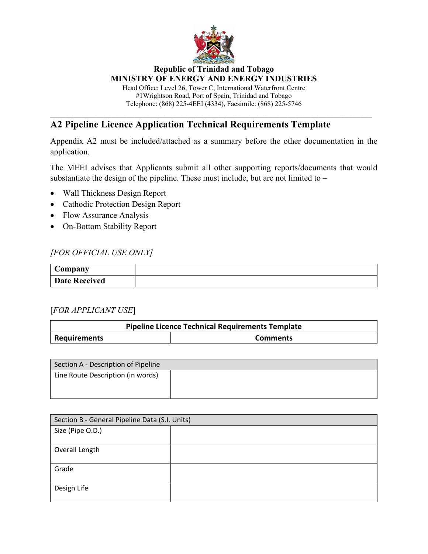

Head Office: Level 26, Tower C, International Waterfront Centre #1Wrightson Road, Port of Spain, Trinidad and Tobago Telephone: (868) 225-4EEI (4334), Facsimile: (868) 225-5746

\_\_\_\_\_\_\_\_\_\_\_\_\_\_\_\_\_\_\_\_\_\_\_\_\_\_\_\_\_\_\_\_\_\_\_\_\_\_\_\_\_\_\_\_\_\_\_\_\_\_\_\_\_\_\_\_\_\_\_\_\_\_\_\_\_\_\_\_\_\_\_\_\_\_\_\_\_\_\_\_\_\_\_\_

# **A2 Pipeline Licence Application Technical Requirements Template**

Appendix A2 must be included/attached as a summary before the other documentation in the application.

The MEEI advises that Applicants submit all other supporting reports/documents that would substantiate the design of the pipeline. These must include, but are not limited to –

- Wall Thickness Design Report
- Cathodic Protection Design Report
- Flow Assurance Analysis
- On-Bottom Stability Report

#### *[FOR OFFICIAL USE ONLY]*

| Company              |  |
|----------------------|--|
| <b>Date Received</b> |  |

#### [*FOR APPLICANT USE*]

| <b>Pipeline Licence Technical Requirements Template</b> |  |  |  |
|---------------------------------------------------------|--|--|--|
| Requirements<br><b>Comments</b>                         |  |  |  |

| Section A - Description of Pipeline |  |
|-------------------------------------|--|
| Line Route Description (in words)   |  |
|                                     |  |
|                                     |  |

| Section B - General Pipeline Data (S.I. Units) |  |  |
|------------------------------------------------|--|--|
| Size (Pipe O.D.)                               |  |  |
|                                                |  |  |
| Overall Length                                 |  |  |
|                                                |  |  |
| Grade                                          |  |  |
|                                                |  |  |
| Design Life                                    |  |  |
|                                                |  |  |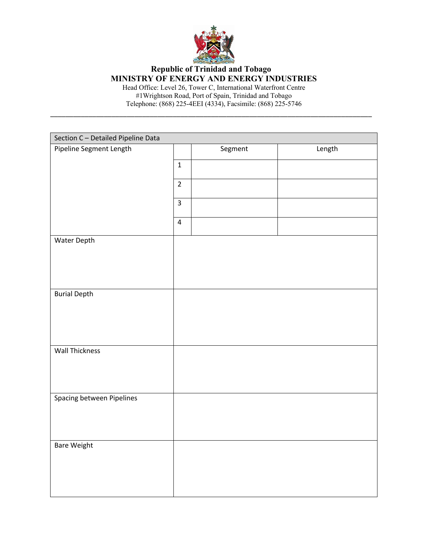

Head Office: Level 26, Tower C, International Waterfront Centre #1Wrightson Road, Port of Spain, Trinidad and Tobago Telephone: (868) 225-4EEI (4334), Facsimile: (868) 225-5746

\_\_\_\_\_\_\_\_\_\_\_\_\_\_\_\_\_\_\_\_\_\_\_\_\_\_\_\_\_\_\_\_\_\_\_\_\_\_\_\_\_\_\_\_\_\_\_\_\_\_\_\_\_\_\_\_\_\_\_\_\_\_\_\_\_\_\_\_\_\_\_\_\_\_\_\_\_\_\_\_\_\_\_\_

| Section C - Detailed Pipeline Data |                |         |        |
|------------------------------------|----------------|---------|--------|
| Pipeline Segment Length            |                | Segment | Length |
|                                    | $\mathbf 1$    |         |        |
|                                    | $\overline{2}$ |         |        |
|                                    | $\overline{3}$ |         |        |
|                                    | $\overline{4}$ |         |        |
| Water Depth                        |                |         |        |
|                                    |                |         |        |
|                                    |                |         |        |
| <b>Burial Depth</b>                |                |         |        |
|                                    |                |         |        |
|                                    |                |         |        |
|                                    |                |         |        |
| <b>Wall Thickness</b>              |                |         |        |
|                                    |                |         |        |
|                                    |                |         |        |
| Spacing between Pipelines          |                |         |        |
|                                    |                |         |        |
|                                    |                |         |        |
| <b>Bare Weight</b>                 |                |         |        |
|                                    |                |         |        |
|                                    |                |         |        |
|                                    |                |         |        |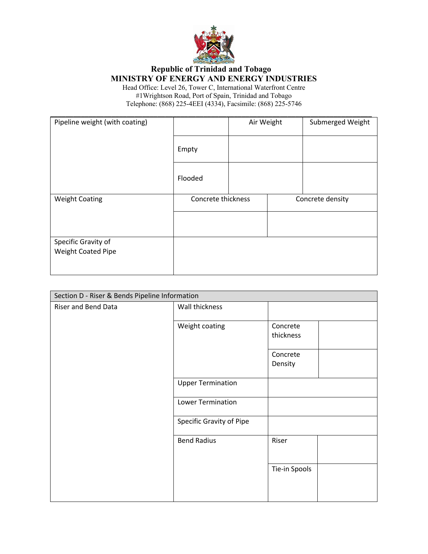

| Pipeline weight (with coating) |                    | Air Weight | Submerged Weight |
|--------------------------------|--------------------|------------|------------------|
|                                | Empty              |            |                  |
|                                | Flooded            |            |                  |
| <b>Weight Coating</b>          | Concrete thickness |            | Concrete density |
|                                |                    |            |                  |
|                                |                    |            |                  |
| Specific Gravity of            |                    |            |                  |
| Weight Coated Pipe             |                    |            |                  |
|                                |                    |            |                  |

| Section D - Riser & Bends Pipeline Information |                                 |                       |  |
|------------------------------------------------|---------------------------------|-----------------------|--|
| Riser and Bend Data                            | Wall thickness                  |                       |  |
|                                                | Weight coating                  | Concrete<br>thickness |  |
|                                                |                                 | Concrete<br>Density   |  |
|                                                | <b>Upper Termination</b>        |                       |  |
|                                                | <b>Lower Termination</b>        |                       |  |
|                                                | <b>Specific Gravity of Pipe</b> |                       |  |
|                                                | <b>Bend Radius</b>              | Riser                 |  |
|                                                |                                 | Tie-in Spools         |  |
|                                                |                                 |                       |  |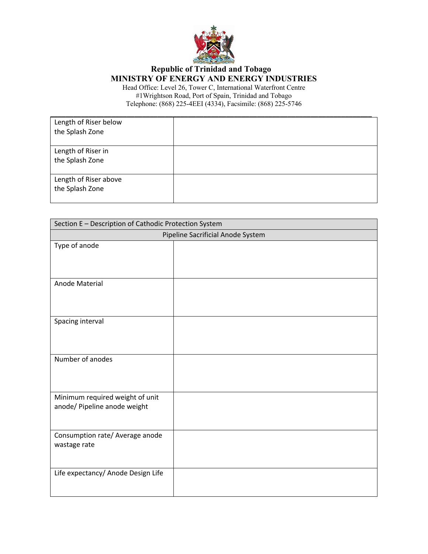

| Length of Riser below<br>the Splash Zone |  |
|------------------------------------------|--|
| Length of Riser in<br>the Splash Zone    |  |
| Length of Riser above<br>the Splash Zone |  |

| Section E - Description of Cathodic Protection System           |  |  |
|-----------------------------------------------------------------|--|--|
| Pipeline Sacrificial Anode System                               |  |  |
| Type of anode                                                   |  |  |
| Anode Material                                                  |  |  |
| Spacing interval                                                |  |  |
| Number of anodes                                                |  |  |
| Minimum required weight of unit<br>anode/ Pipeline anode weight |  |  |
| Consumption rate/ Average anode<br>wastage rate                 |  |  |
| Life expectancy/ Anode Design Life                              |  |  |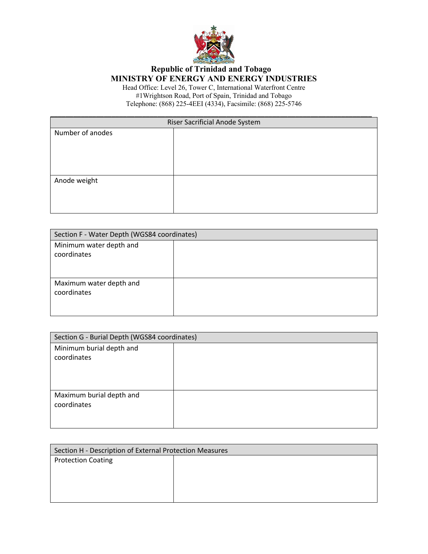

| Riser Sacrificial Anode System |  |  |
|--------------------------------|--|--|
| Number of anodes               |  |  |
|                                |  |  |
|                                |  |  |
|                                |  |  |
|                                |  |  |
| Anode weight                   |  |  |
|                                |  |  |
|                                |  |  |
|                                |  |  |

| Section F - Water Depth (WGS84 coordinates) |  |
|---------------------------------------------|--|
| Minimum water depth and<br>coordinates      |  |
| Maximum water depth and<br>coordinates      |  |

| Section G - Burial Depth (WGS84 coordinates) |  |
|----------------------------------------------|--|
| Minimum burial depth and<br>coordinates      |  |
| Maximum burial depth and<br>coordinates      |  |

| Section H - Description of External Protection Measures |  |
|---------------------------------------------------------|--|
| <b>Protection Coating</b>                               |  |
|                                                         |  |
|                                                         |  |
|                                                         |  |
|                                                         |  |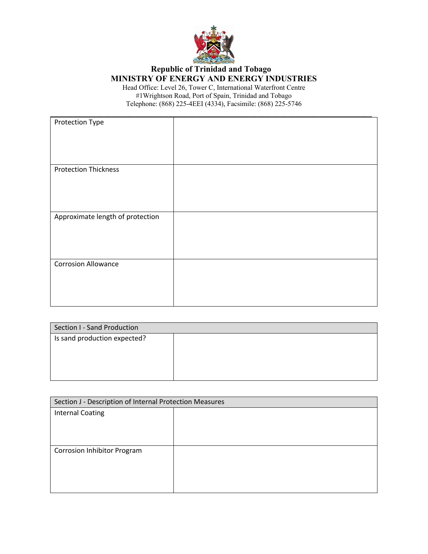

| Protection Type                  |  |
|----------------------------------|--|
| <b>Protection Thickness</b>      |  |
|                                  |  |
| Approximate length of protection |  |
| <b>Corrosion Allowance</b>       |  |

| Section I - Sand Production  |  |
|------------------------------|--|
| Is sand production expected? |  |
|                              |  |
|                              |  |
|                              |  |
|                              |  |

| Section J - Description of Internal Protection Measures |  |
|---------------------------------------------------------|--|
| <b>Internal Coating</b>                                 |  |
|                                                         |  |
|                                                         |  |
|                                                         |  |
| Corrosion Inhibitor Program                             |  |
|                                                         |  |
|                                                         |  |
|                                                         |  |
|                                                         |  |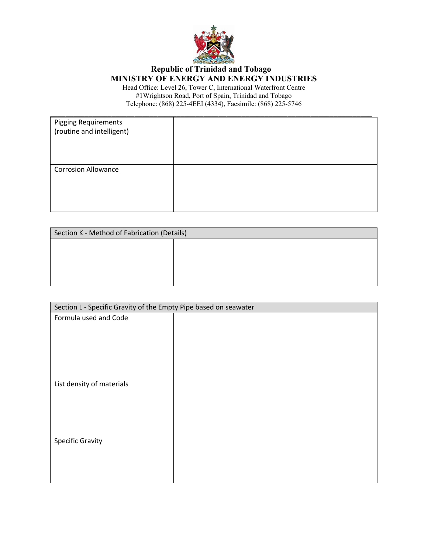

| <b>Pigging Requirements</b> |  |
|-----------------------------|--|
| (routine and intelligent)   |  |
|                             |  |
|                             |  |
|                             |  |
|                             |  |
| <b>Corrosion Allowance</b>  |  |
|                             |  |
|                             |  |
|                             |  |
|                             |  |
|                             |  |

| Section K - Method of Fabrication (Details) |  |
|---------------------------------------------|--|
|                                             |  |
|                                             |  |
|                                             |  |
|                                             |  |

| Section L - Specific Gravity of the Empty Pipe based on seawater |  |
|------------------------------------------------------------------|--|
| Formula used and Code                                            |  |
|                                                                  |  |
|                                                                  |  |
|                                                                  |  |
|                                                                  |  |
| List density of materials                                        |  |
|                                                                  |  |
|                                                                  |  |
|                                                                  |  |
| <b>Specific Gravity</b>                                          |  |
|                                                                  |  |
|                                                                  |  |
|                                                                  |  |
|                                                                  |  |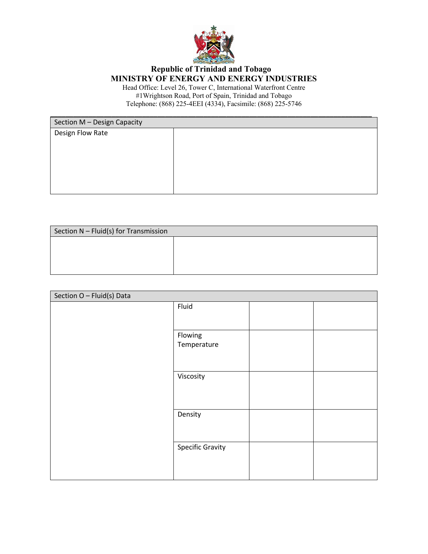

| Section M - Design Capacity |  |
|-----------------------------|--|
| Design Flow Rate            |  |
|                             |  |
|                             |  |
|                             |  |
|                             |  |
|                             |  |
|                             |  |
|                             |  |
|                             |  |

| Section N - Fluid(s) for Transmission |  |
|---------------------------------------|--|
|                                       |  |
|                                       |  |
|                                       |  |

| Section O - Fluid(s) Data |                         |  |
|---------------------------|-------------------------|--|
|                           | Fluid                   |  |
|                           |                         |  |
|                           | Flowing                 |  |
|                           | Temperature             |  |
|                           |                         |  |
|                           | Viscosity               |  |
|                           |                         |  |
|                           |                         |  |
|                           | Density                 |  |
|                           |                         |  |
|                           | <b>Specific Gravity</b> |  |
|                           |                         |  |
|                           |                         |  |
|                           |                         |  |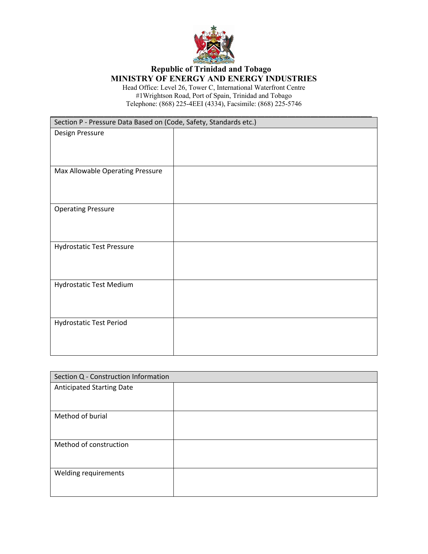

| Section P - Pressure Data Based on (Code, Safety, Standards etc.) |  |
|-------------------------------------------------------------------|--|
| Design Pressure                                                   |  |
|                                                                   |  |
|                                                                   |  |
| Max Allowable Operating Pressure                                  |  |
|                                                                   |  |
|                                                                   |  |
|                                                                   |  |
| <b>Operating Pressure</b>                                         |  |
|                                                                   |  |
|                                                                   |  |
| <b>Hydrostatic Test Pressure</b>                                  |  |
|                                                                   |  |
|                                                                   |  |
|                                                                   |  |
| Hydrostatic Test Medium                                           |  |
|                                                                   |  |
|                                                                   |  |
| Hydrostatic Test Period                                           |  |
|                                                                   |  |
|                                                                   |  |
|                                                                   |  |

| Section Q - Construction Information |  |
|--------------------------------------|--|
| <b>Anticipated Starting Date</b>     |  |
|                                      |  |
| Method of burial                     |  |
| Method of construction               |  |
| Welding requirements                 |  |